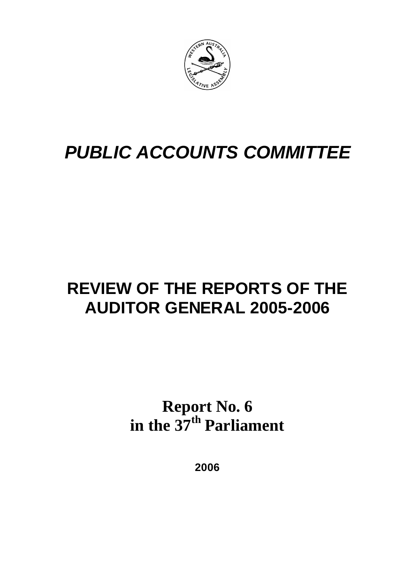

# *PUBLIC ACCOUNTS COMMITTEE*

# **REVIEW OF THE REPORTS OF THE AUDITOR GENERAL 2005-2006**

**Report No. 6 in the 37th Parliament**

**2006**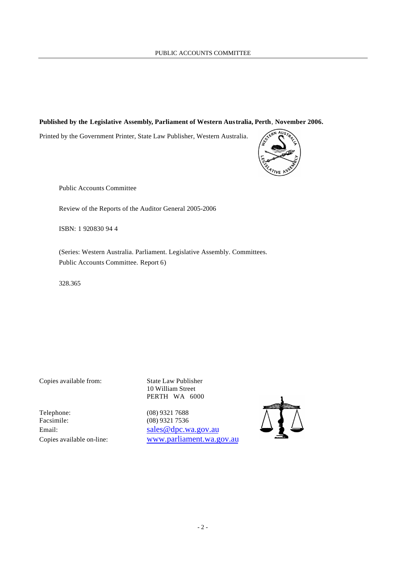#### **Published by the Legislative Assembly, Parliament of Western Australia, Perth**, **November 2006.**

Printed by the Government Printer, State Law Publisher, Western Australia.



Public Accounts Committee

Review of the Reports of the Auditor General 2005-2006

ISBN: 1 920830 94 4

(Series: Western Australia. Parliament. Legislative Assembly. Committees. Public Accounts Committee. Report 6)

328.365

Telephone: (08) 9321 7688<br>Facsimile: (08) 9321 7536

Copies available from: State Law Publisher 10 William Street PERTH WA 6000

(08) 9321 7536 Email: sales @dpc.wa.gov.au Copies available on-line: www.parliament.wa.gov.au

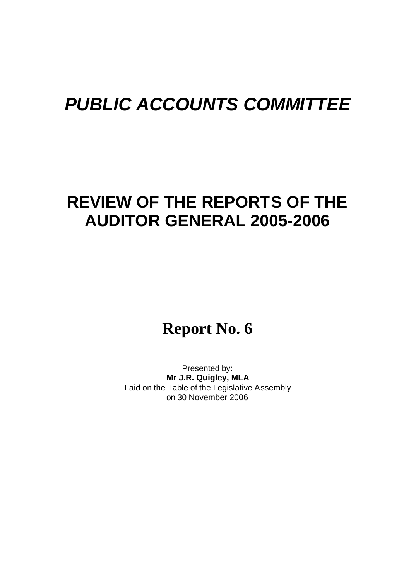# *PUBLIC ACCOUNTS COMMITTEE*

# **REVIEW OF THE REPORTS OF THE AUDITOR GENERAL 2005-2006**

# **Report No. 6**

Presented by: **Mr J.R. Quigley, MLA** Laid on the Table of the Legislative Assembly on 30 November 2006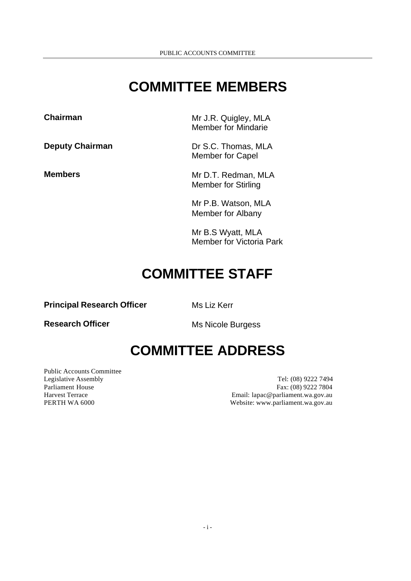# **COMMITTEE MEMBERS**

**Chairman** Mr J.R. Quigley, MLA Member for Mindarie

**Deputy Chairman** Dr S.C. Thomas, MLA Member for Capel

**Members** Mr D.T. Redman, MLA Member for Stirling

> Mr P.B. Watson, MLA Member for Albany

Mr B.S Wyatt, MLA Member for Victoria Park

# **COMMITTEE STAFF**

**Principal Research Officer** Ms Liz Kerr

**Research Officer** Ms Nicole Burgess

# **COMMITTEE ADDRESS**

Public Accounts Committee

Legislative Assembly Tel: (08) 9222 7494 Parliament House Fax: (08) 9222 7804 Harvest Terrace Email: lapac@parliament.wa.gov.au PERTH WA 6000 **Website:** www.parliament.wa.gov.au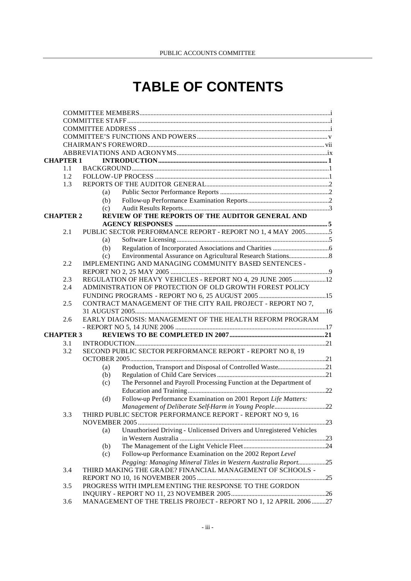# **TABLE OF CONTENTS**

|     | <b>CHAPTER 1</b> |                                                                            |  |  |  |
|-----|------------------|----------------------------------------------------------------------------|--|--|--|
|     | 1.1              |                                                                            |  |  |  |
|     | $1.2^{\circ}$    |                                                                            |  |  |  |
|     | 1.3              |                                                                            |  |  |  |
|     |                  | (a)                                                                        |  |  |  |
|     |                  | (b)                                                                        |  |  |  |
|     |                  | (c)                                                                        |  |  |  |
|     | <b>CHAPTER 2</b> | REVIEW OF THE REPORTS OF THE AUDITOR GENERAL AND                           |  |  |  |
|     |                  |                                                                            |  |  |  |
|     | 2.1              | PUBLIC SECTOR PERFORMANCE REPORT - REPORT NO 1, 4 MAY 20055                |  |  |  |
|     |                  | (a)                                                                        |  |  |  |
|     |                  | (b)                                                                        |  |  |  |
|     |                  | (c)                                                                        |  |  |  |
|     | 2.2              | IMPLEMENTING AND MANAGING COMMUNITY BASED SENTENCES -                      |  |  |  |
|     |                  |                                                                            |  |  |  |
|     | 2.3              | REGULATION OF HEAVY VEHICLES - REPORT NO 4, 29 JUNE 2005  12               |  |  |  |
|     | 2.4              | ADMINISTRATION OF PROTECTION OF OLD GROWTH FOREST POLICY                   |  |  |  |
|     |                  |                                                                            |  |  |  |
|     | 2.5              | CONTRACT MANAGEMENT OF THE CITY RAIL PROJECT - REPORT NO 7,                |  |  |  |
|     |                  |                                                                            |  |  |  |
|     | 2.6              | EARLY DIAGNOSIS: MANAGEMENT OF THE HEALTH REFORM PROGRAM                   |  |  |  |
|     |                  |                                                                            |  |  |  |
|     | <b>CHAPTER 3</b> |                                                                            |  |  |  |
|     | 3.1              |                                                                            |  |  |  |
|     | 3.2              | SECOND PUBLIC SECTOR PERFORMANCE REPORT - REPORT NO 8, 19                  |  |  |  |
|     |                  |                                                                            |  |  |  |
|     |                  | Production, Transport and Disposal of Controlled Waste21<br>(a)            |  |  |  |
|     |                  | (b)                                                                        |  |  |  |
|     |                  | The Personnel and Payroll Processing Function at the Department of<br>(c)  |  |  |  |
|     |                  |                                                                            |  |  |  |
|     |                  | Follow-up Performance Examination on 2001 Report Life Matters:<br>(d)      |  |  |  |
|     |                  | Management of Deliberate Self-Harm in Young People22                       |  |  |  |
|     | 3.3              | THIRD PUBLIC SECTOR PERFORMANCE REPORT - REPORT NO 9, 16                   |  |  |  |
|     |                  |                                                                            |  |  |  |
|     |                  | Unauthorised Driving - Unlicensed Drivers and Unregistered Vehicles<br>(a) |  |  |  |
|     |                  |                                                                            |  |  |  |
|     |                  | (b)                                                                        |  |  |  |
|     |                  | Follow-up Performance Examination on the 2002 Report Level<br>(c)          |  |  |  |
|     |                  | Pegging: Managing Mineral Titles in Western Australia Report25             |  |  |  |
|     | 3.4              | THIRD MAKING THE GRADE? FINANCIAL MANAGEMENT OF SCHOOLS -                  |  |  |  |
| 3.5 |                  |                                                                            |  |  |  |
|     |                  | PROGRESS WITH IMPLEM ENTING THE RESPONSE TO THE GORDON                     |  |  |  |
|     |                  |                                                                            |  |  |  |
|     | 3.6              | MANAGEMENT OF THE TRELIS PROJECT - REPORT NO 1, 12 APRIL 2006 27           |  |  |  |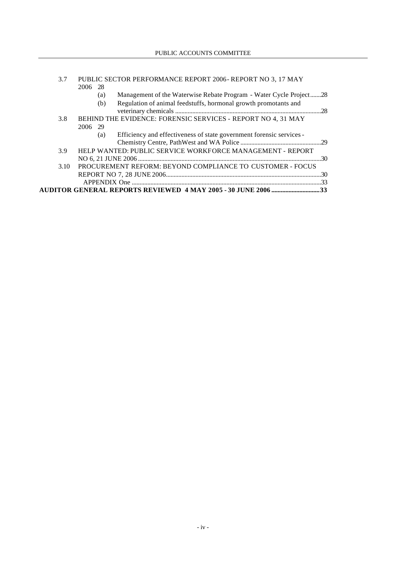| 3.7 | PUBLIC SECTOR PERFORMANCE REPORT 2006-REPORT NO 3, 17 MAY                   |     |  |
|-----|-----------------------------------------------------------------------------|-----|--|
|     | 2006 28                                                                     |     |  |
|     | Management of the Waterwise Rebate Program - Water Cycle Project28<br>(a)   |     |  |
|     | Regulation of animal feedstuffs, hormonal growth promotants and<br>(b)      |     |  |
|     |                                                                             |     |  |
| 3.8 | BEHIND THE EVIDENCE: FORENSIC SERVICES - REPORT NO 4, 31 MAY                |     |  |
|     | 2006<br>-29                                                                 |     |  |
|     | Efficiency and effectiveness of state government forensic services -<br>(a) |     |  |
|     |                                                                             |     |  |
| 3.9 | HELP WANTED: PUBLIC SERVICE WORKFORCE MANAGEMENT - REPORT                   |     |  |
|     |                                                                             | 30  |  |
|     | PROCUREMENT REFORM: BEYOND COMPLIANCE TO CUSTOMER - FOCUS<br>3.10           |     |  |
|     |                                                                             | .30 |  |
|     |                                                                             |     |  |
|     |                                                                             |     |  |
|     |                                                                             |     |  |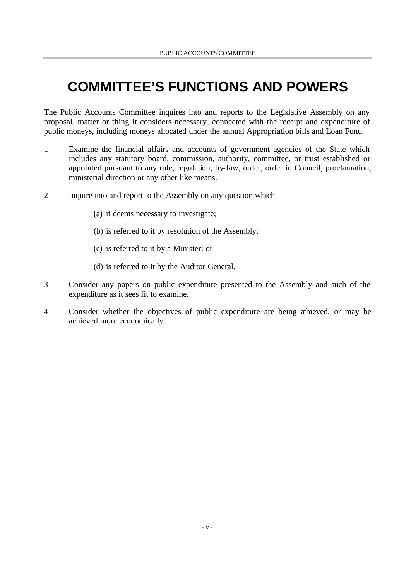# **COMMITTEE'S FUNCTIONS AND POWERS**

The Public Accounts Committee inquires into and reports to the Legislative Assembly on any proposal, matter or thing it considers necessary, connected with the receipt and expenditure of public moneys, including moneys allocated under the annual Appropriation bills and Loan Fund.

- 1 Examine the financial affairs and accounts of government agencies of the State which includes any statutory board, commission, authority, committee, or trust established or appointed pursuant to any rule, regulation, by-law, order, order in Council, proclamation, ministerial direction or any other like means.
- 2 Inquire into and report to the Assembly on any question which
	- (a) it deems necessary to investigate;
	- (b) is referred to it by resolution of the Assembly;
	- (c) is referred to it by a Minister; or
	- (d) is referred to it by the Auditor General.
- 3 Consider any papers on public expenditure presented to the Assembly and such of the expenditure as it sees fit to examine.
- 4 Consider whether the objectives of public expenditure are being achieved, or may be achieved more economically.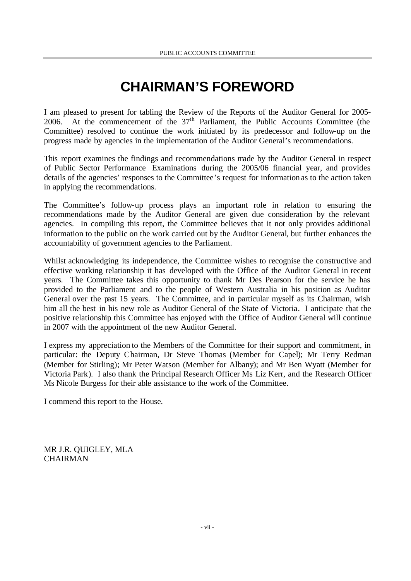# **CHAIRMAN'S FOREWORD**

I am pleased to present for tabling the Review of the Reports of the Auditor General for 2005- 2006. At the commencement of the  $37<sup>th</sup>$  Parliament, the Public Accounts Committee (the Committee) resolved to continue the work initiated by its predecessor and follow-up on the progress made by agencies in the implementation of the Auditor General's recommendations.

This report examines the findings and recommendations made by the Auditor General in respect of Public Sector Performance Examinations during the 2005/06 financial year, and provides details of the agencies' responses to the Committee's request for information as to the action taken in applying the recommendations.

The Committee's follow-up process plays an important role in relation to ensuring the recommendations made by the Auditor General are given due consideration by the relevant agencies. In compiling this report, the Committee believes that it not only provides additional information to the public on the work carried out by the Auditor General, but further enhances the accountability of government agencies to the Parliament.

Whilst acknowledging its independence, the Committee wishes to recognise the constructive and effective working relationship it has developed with the Office of the Auditor General in recent years. The Committee takes this opportunity to thank Mr Des Pearson for the service he has provided to the Parliament and to the people of Western Australia in his position as Auditor General over the past 15 years. The Committee, and in particular myself as its Chairman, wish him all the best in his new role as Auditor General of the State of Victoria. I anticipate that the positive relationship this Committee has enjoyed with the Office of Auditor General will continue in 2007 with the appointment of the new Auditor General.

I express my appreciation to the Members of the Committee for their support and commitment, in particular: the Deputy Chairman, Dr Steve Thomas (Member for Capel); Mr Terry Redman (Member for Stirling); Mr Peter Watson (Member for Albany); and Mr Ben Wyatt (Member for Victoria Park). I also thank the Principal Research Officer Ms Liz Kerr, and the Research Officer Ms Nicole Burgess for their able assistance to the work of the Committee.

I commend this report to the House.

MR J.R. QUIGLEY, MLA **CHAIRMAN**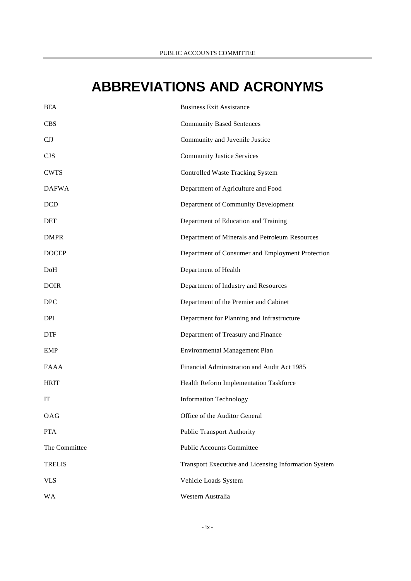# **ABBREVIATIONS AND ACRONYMS**

| <b>BEA</b>    | <b>Business Exit Assistance</b>                      |
|---------------|------------------------------------------------------|
| <b>CBS</b>    | <b>Community Based Sentences</b>                     |
| CJJ           | Community and Juvenile Justice                       |
| <b>CJS</b>    | <b>Community Justice Services</b>                    |
| <b>CWTS</b>   | <b>Controlled Waste Tracking System</b>              |
| <b>DAFWA</b>  | Department of Agriculture and Food                   |
| <b>DCD</b>    | Department of Community Development                  |
| <b>DET</b>    | Department of Education and Training                 |
| <b>DMPR</b>   | Department of Minerals and Petroleum Resources       |
| <b>DOCEP</b>  | Department of Consumer and Employment Protection     |
| DoH           | Department of Health                                 |
| <b>DOIR</b>   | Department of Industry and Resources                 |
| <b>DPC</b>    | Department of the Premier and Cabinet                |
| <b>DPI</b>    | Department for Planning and Infrastructure           |
| <b>DTF</b>    | Department of Treasury and Finance                   |
| <b>EMP</b>    | <b>Environmental Management Plan</b>                 |
| <b>FAAA</b>   | Financial Administration and Audit Act 1985          |
| <b>HRIT</b>   | Health Reform Implementation Taskforce               |
| IT            | <b>Information Technology</b>                        |
| OAG           | Office of the Auditor General                        |
| <b>PTA</b>    | <b>Public Transport Authority</b>                    |
| The Committee | <b>Public Accounts Committee</b>                     |
| <b>TRELIS</b> | Transport Executive and Licensing Information System |
| <b>VLS</b>    | Vehicle Loads System                                 |
| <b>WA</b>     | Western Australia                                    |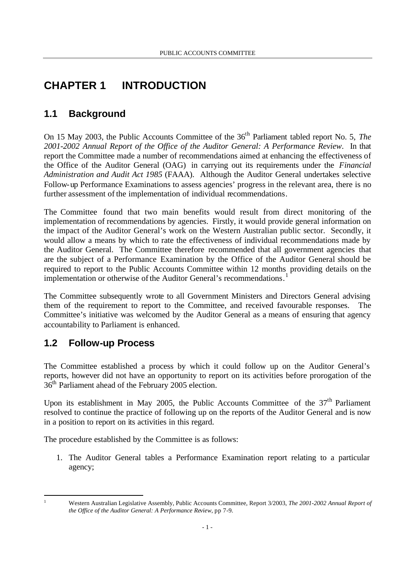# **CHAPTER 1 INTRODUCTION**

# **1.1 Background**

On 15 May 2003, the Public Accounts Committee of the 36<sup>th</sup> Parliament tabled report No. 5, *The 2001-2002 Annual Report of the Office of the Auditor General: A Performance Review*. In that report the Committee made a number of recommendations aimed at enhancing the effectiveness of the Office of the Auditor General (OAG) in carrying out its requirements under the *Financial Administration and Audit Act 1985* (FAAA). Although the Auditor General undertakes selective Follow-up Performance Examinations to assess agencies' progress in the relevant area, there is no further assessment of the implementation of individual recommendations.

The Committee found that two main benefits would result from direct monitoring of the implementation of recommendations by agencies. Firstly, it would provide general information on the impact of the Auditor General's work on the Western Australian public sector. Secondly, it would allow a means by which to rate the effectiveness of individual recommendations made by the Auditor General. The Committee therefore recommended that all government agencies that are the subject of a Performance Examination by the Office of the Auditor General should be required to report to the Public Accounts Committee within 12 months providing details on the implementation or otherwise of the Auditor General's recommendations.<sup>1</sup>

The Committee subsequently wrote to all Government Ministers and Directors General advising them of the requirement to report to the Committee, and received favourable responses. The Committee's initiative was welcomed by the Auditor General as a means of ensuring that agency accountability to Parliament is enhanced.

# **1.2 Follow-up Process**

The Committee established a process by which it could follow up on the Auditor General's reports, however did not have an opportunity to report on its activities before prorogation of the 36th Parliament ahead of the February 2005 election.

Upon its establishment in May 2005, the Public Accounts Committee of the  $37<sup>th</sup>$  Parliament resolved to continue the practice of following up on the reports of the Auditor General and is now in a position to report on its activities in this regard.

The procedure established by the Committee is as follows:

1. The Auditor General tables a Performance Examination report relating to a particular agency;

l

<sup>1</sup> Western Australian Legislative Assembly, Public Accounts Committee, Report 3/2003, *The 2001-2002 Annual Report of the Office of the Auditor General: A Performance Review,* pp 7-9.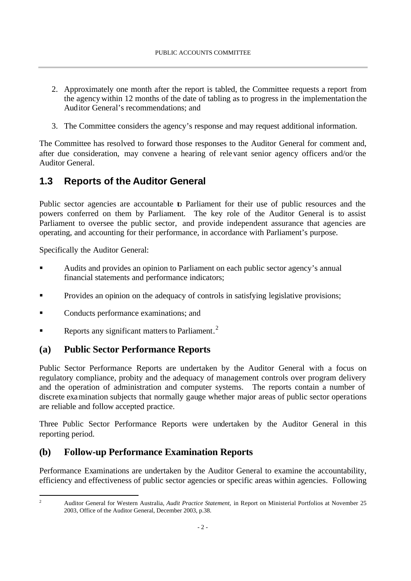- 2. Approximately one month after the report is tabled, the Committee requests a report from the agency within 12 months of the date of tabling as to progress in the implementation the Auditor General's recommendations; and
- 3. The Committee considers the agency's response and may request additional information.

The Committee has resolved to forward those responses to the Auditor General for comment and, after due consideration, may convene a hearing of relevant senior agency officers and/or the Auditor General.

# **1.3 Reports of the Auditor General**

Public sector agencies are accountable to Parliament for their use of public resources and the powers conferred on them by Parliament. The key role of the Auditor General is to assist Parliament to oversee the public sector, and provide independent assurance that agencies are operating, and accounting for their performance, in accordance with Parliament's purpose.

Specifically the Auditor General:

- ß Audits and provides an opinion to Parliament on each public sector agency's annual financial statements and performance indicators;
- **•** Provides an opinion on the adequacy of controls in satisfying legislative provisions;
- ß Conducts performance examinations; and
- Reports any significant matters to Parliament.<sup>2</sup>

# **(a) Public Sector Performance Reports**

Public Sector Performance Reports are undertaken by the Auditor General with a focus on regulatory compliance, probity and the adequacy of management controls over program delivery and the operation of administration and computer systems. The reports contain a number of discrete examination subjects that normally gauge whether major areas of public sector operations are reliable and follow accepted practice.

Three Public Sector Performance Reports were undertaken by the Auditor General in this reporting period.

# **(b) Follow-up Performance Examination Reports**

Performance Examinations are undertaken by the Auditor General to examine the accountability, efficiency and effectiveness of public sector agencies or specific areas within agencies. Following

l

<sup>2</sup> Auditor General for Western Australia, *Audit Practice Statement,* in Report on Ministerial Portfolios at November 25 2003, Office of the Auditor General, December 2003, p.38.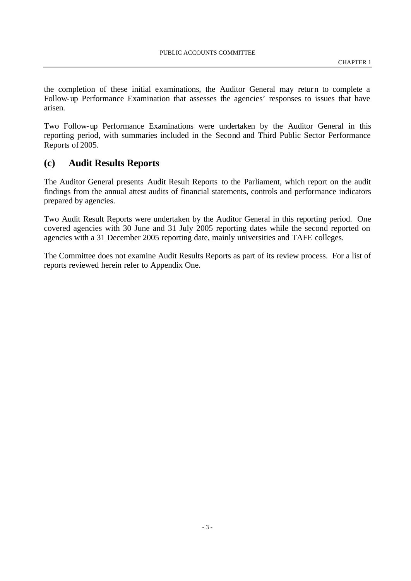the completion of these initial examinations, the Auditor General may return to complete a Follow-up Performance Examination that assesses the agencies' responses to issues that have arisen.

Two Follow-up Performance Examinations were undertaken by the Auditor General in this reporting period, with summaries included in the Second and Third Public Sector Performance Reports of 2005.

## **(c) Audit Results Reports**

The Auditor General presents Audit Result Reports to the Parliament, which report on the audit findings from the annual attest audits of financial statements, controls and performance indicators prepared by agencies.

Two Audit Result Reports were undertaken by the Auditor General in this reporting period. One covered agencies with 30 June and 31 July 2005 reporting dates while the second reported on agencies with a 31 December 2005 reporting date, mainly universities and TAFE colleges.

The Committee does not examine Audit Results Reports as part of its review process. For a list of reports reviewed herein refer to Appendix One.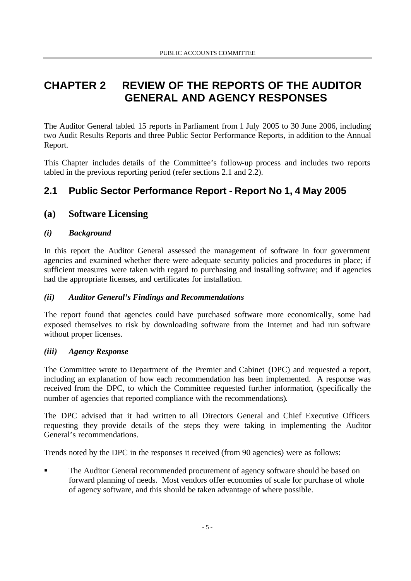# **CHAPTER 2 REVIEW OF THE REPORTS OF THE AUDITOR GENERAL AND AGENCY RESPONSES**

The Auditor General tabled 15 reports in Parliament from 1 July 2005 to 30 June 2006, including two Audit Results Reports and three Public Sector Performance Reports, in addition to the Annual Report.

This Chapter includes details of the Committee's follow-up process and includes two reports tabled in the previous reporting period (refer sections 2.1 and 2.2).

# **2.1 Public Sector Performance Report - Report No 1, 4 May 2005**

# **(a) Software Licensing**

## *(i) Background*

In this report the Auditor General assessed the management of software in four government agencies and examined whether there were adequate security policies and procedures in place; if sufficient measures were taken with regard to purchasing and installing software; and if agencies had the appropriate licenses, and certificates for installation.

## *(ii) Auditor General's Findings and Recommendations*

The report found that agencies could have purchased software more economically, some had exposed themselves to risk by downloading software from the Internet and had run software without proper licenses.

#### *(iii) Agency Response*

The Committee wrote to Department of the Premier and Cabinet (DPC) and requested a report, including an explanation of how each recommendation has been implemented. A response was received from the DPC, to which the Committee requested further information, (specifically the number of agencies that reported compliance with the recommendations).

The DPC advised that it had written to all Directors General and Chief Executive Officers requesting they provide details of the steps they were taking in implementing the Auditor General's recommendations.

Trends noted by the DPC in the responses it received (from 90 agencies) were as follows:

ß The Auditor General recommended procurement of agency software should be based on forward planning of needs. Most vendors offer economies of scale for purchase of whole of agency software, and this should be taken advantage of where possible.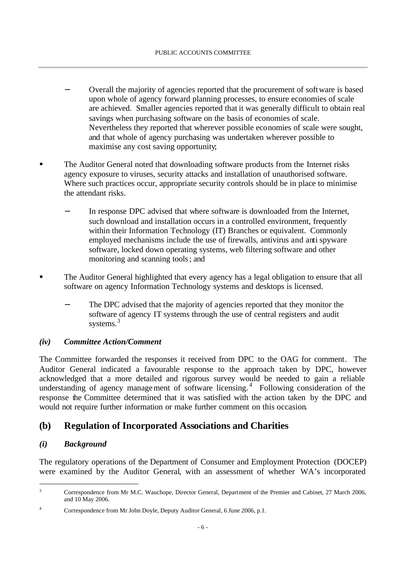- − Overall the majority of agencies reported that the procurement of software is based upon whole of agency forward planning processes, to ensure economies of scale are achieved. Smaller agencies reported that it was generally difficult to obtain real savings when purchasing software on the basis of economies of scale. Nevertheless they reported that wherever possible economies of scale were sought, and that whole of agency purchasing was undertaken wherever possible to maximise any cost saving opportunity;
- ß The Auditor General noted that downloading software products from the Internet risks agency exposure to viruses, security attacks and installation of unauthorised software. Where such practices occur, appropriate security controls should be in place to minimise the attendant risks.
	- In response DPC advised that where software is downloaded from the Internet, such download and installation occurs in a controlled environment, frequently within their Information Technology (IT) Branches or equivalent. Commonly employed mechanisms include the use of firewalls, antivirus and anti spyware software, locked down operating systems, web filtering software and other monitoring and scanning tools; and
- ß The Auditor General highlighted that every agency has a legal obligation to ensure that all software on agency Information Technology systems and desktops is licensed.
	- The DPC advised that the majority of agencies reported that they monitor the software of agency IT systems through the use of central registers and audit systems.<sup>3</sup>

#### *(iv) Committee Action/Comment*

The Committee forwarded the responses it received from DPC to the OAG for comment. The Auditor General indicated a favourable response to the approach taken by DPC, however acknowledged that a more detailed and rigorous survey would be needed to gain a reliable understanding of agency management of software licensing.<sup>4</sup> Following consideration of the response the Committee determined that it was satisfied with the action taken by the DPC and would not require further information or make further comment on this occasion.

## **(b) Regulation of Incorporated Associations and Charities**

#### *(i) Background*

l

The regulatory operations of the Department of Consumer and Employment Protection (DOCEP) were examined by the Auditor General, with an assessment of whether WA's incorporated

<sup>&</sup>lt;sup>3</sup> Correspondence from Mr M.C. Wauchope, Director General, Department of the Premier and Cabinet, 27 March 2006, and 10 May 2006.

<sup>4</sup> Correspondence from Mr John Doyle, Deputy Auditor General, 6 June 2006, p.1.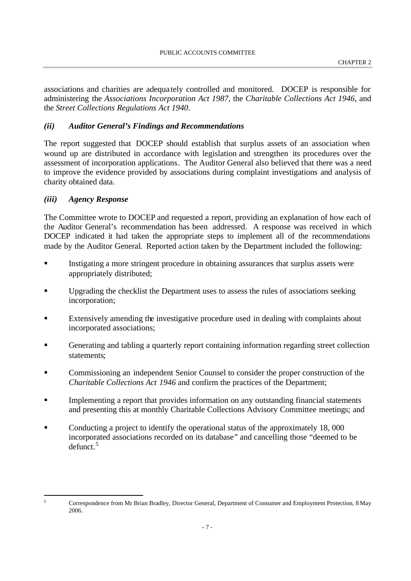associations and charities are adequa tely controlled and monitored. DOCEP is responsible for administering the *Associations Incorporation Act 1987*, the *Charitable Collections Act 1946*, and the *Street Collections Regulations Act 1940*.

#### *(ii) Auditor General's Findings and Recommendations*

The report suggested that DOCEP should establish that surplus assets of an association when wound up are distributed in accordance with legislation and strengthen its procedures over the assessment of incorporation applications. The Auditor General also believed that there was a need to improve the evidence provided by associations during complaint investigations and analysis of charity obtained data.

#### *(iii) Agency Response*

l

The Committee wrote to DOCEP and requested a report, providing an explanation of how each of the Auditor General's recommendation has been addressed. A response was received in which DOCEP indicated it had taken the appropriate steps to implement all of the recommendations made by the Auditor General. Reported action taken by the Department included the following:

- ß Instigating a more stringent procedure in obtaining assurances that surplus assets were appropriately distributed;
- ß Upgrading the checklist the Department uses to assess the rules of associations seeking incorporation;
- ß Extensively amending the investigative procedure used in dealing with complaints about incorporated associations;
- ß Generating and tabling a quarterly report containing information regarding street collection statements;
- ß Commissioning an independent Senior Counsel to consider the proper construction of the *Charitable Collections Act 1946* and confirm the practices of the Department;
- ß Implementing a report that provides information on any outstanding financial statements and presenting this at monthly Charitable Collections Advisory Committee meetings; and
- ß Conducting a project to identify the operational status of the approximately 18, 000 incorporated associations recorded on its database" and cancelling those "deemed to be defunct. 5

<sup>5</sup> Correspondence from Mr Brian Bradley, Director General, Department of Consumer and Employment Protection, 8 May 2006.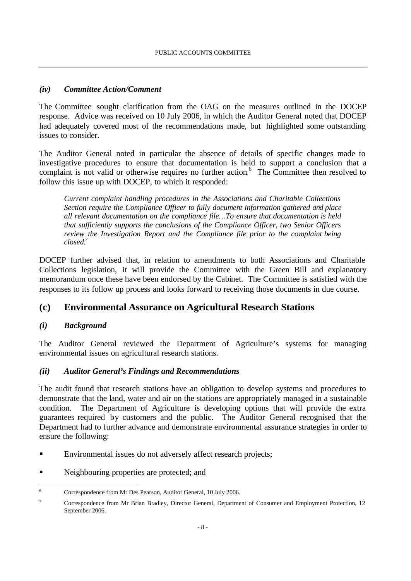## *(iv) Committee Action/Comment*

The Committee sought clarification from the OAG on the measures outlined in the DOCEP response. Advice was received on 10 July 2006, in which the Auditor General noted that DOCEP had adequately covered most of the recommendations made, but highlighted some outstanding issues to consider.

The Auditor General noted in particular the absence of details of specific changes made to investigative procedures to ensure that documentation is held to support a conclusion that a complaint is not valid or otherwise requires no further action.<sup>6</sup> The Committee then resolved to follow this issue up with DOCEP, to which it responded:

*Current complaint handling procedures in the Associations and Charitable Collections Section require the Compliance Officer to fully document information gathered and place all relevant documentation on the compliance file…To ensure that documentation is held that sufficiently supports the conclusions of the Compliance Officer, two Senior Officers review the Investigation Report and the Compliance file prior to the complaint being closed.<sup>7</sup>*

DOCEP further advised that, in relation to amendments to both Associations and Charitable Collections legislation, it will provide the Committee with the Green Bill and explanatory memorandum once these have been endorsed by the Cabinet. The Committee is satisfied with the responses to its follow up process and looks forward to receiving those documents in due course.

# **(c) Environmental Assurance on Agricultural Research Stations**

# *(i) Background*

l

The Auditor General reviewed the Department of Agriculture's systems for managing environmental issues on agricultural research stations.

## *(ii) Auditor General's Findings and Recommendations*

The audit found that research stations have an obligation to develop systems and procedures to demonstrate that the land, water and air on the stations are appropriately managed in a sustainable condition. The Department of Agriculture is developing options that will provide the extra guarantees required by customers and the public. The Auditor General recognised that the Department had to further advance and demonstrate environmental assurance strategies in order to ensure the following:

- **Environmental issues do not adversely affect research projects;**
- Example 1 See Neighbouring properties are protected; and

<sup>6</sup> Correspondence from Mr Des Pearson, Auditor General, 10 July 2006.

<sup>7</sup> Correspondence from Mr Brian Bradley, Director General, Department of Consumer and Employment Protection, 12 September 2006.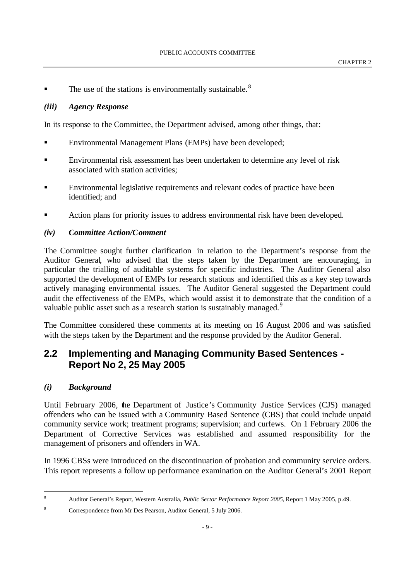The use of the stations is environmentally sustainable.<sup>8</sup>

#### *(iii) Agency Response*

In its response to the Committee, the Department advised, among other things, that:

- ß Environmental Management Plans (EMPs) have been developed;
- **Environmental risk assessment has been undertaken to determine any level of risk** associated with station activities;
- ß Environmental legislative requirements and relevant codes of practice have been identified; and
- ß Action plans for priority issues to address environmental risk have been developed.

#### *(iv) Committee Action/Comment*

The Committee sought further clarification in relation to the Department's response from the Auditor General, who advised that the steps taken by the Department are encouraging, in particular the trialling of auditable systems for specific industries. The Auditor General also supported the development of EMPs for research stations and identified this as a key step towards actively managing environmental issues. The Auditor General suggested the Department could audit the effectiveness of the EMPs, which would assist it to demonstrate that the condition of a valuable public asset such as a research station is sustainably managed.<sup>9</sup>

The Committee considered these comments at its meeting on 16 August 2006 and was satisfied with the steps taken by the Department and the response provided by the Auditor General.

# **2.2 Implementing and Managing Community Based Sentences - Report No 2, 25 May 2005**

#### *(i) Background*

l

Until February 2006, the Department of Justice's Community Justice Services (CJS) managed offenders who can be issued with a Community Based Sentence (CBS) that could include unpaid community service work; treatment programs; supervision; and curfews. On 1 February 2006 the Department of Corrective Services was established and assumed responsibility for the management of prisoners and offenders in WA.

In 1996 CBSs were introduced on the discontinuation of probation and community service orders. This report represents a follow up performance examination on the Auditor General's 2001 Report

<sup>8</sup> Auditor General's Report, Western Australia, *Public Sector Performance Report 2005,* Report 1 May 2005, p.49.

<sup>9</sup> Correspondence from Mr Des Pearson, Auditor General, 5 July 2006.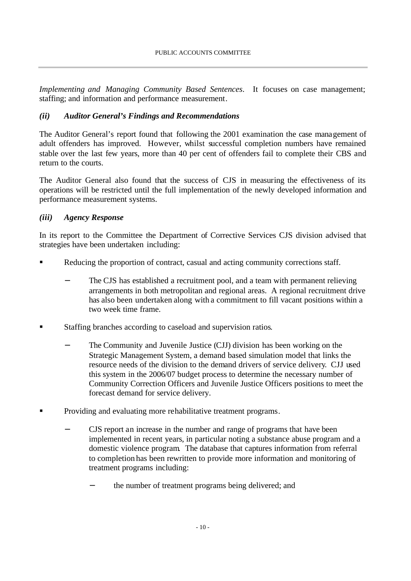*Implementing and Managing Community Based Sentences*. It focuses on case management; staffing; and information and performance measurement.

## *(ii) Auditor General's Findings and Recommendations*

The Auditor General's report found that following the 2001 examination the case management of adult offenders has improved. However, whilst successful completion numbers have remained stable over the last few years, more than 40 per cent of offenders fail to complete their CBS and return to the courts.

The Auditor General also found that the success of CJS in measuring the effectiveness of its operations will be restricted until the full implementation of the newly developed information and performance measurement systems.

### *(iii) Agency Response*

In its report to the Committee the Department of Corrective Services CJS division advised that strategies have been undertaken including:

- ß Reducing the proportion of contract, casual and acting community corrections staff.
	- The CJS has established a recruitment pool, and a team with permanent relieving arrangements in both metropolitan and regional areas. A regional recruitment drive has also been undertaken along with a commitment to fill vacant positions within a two week time frame.
- ß Staffing branches according to caseload and supervision ratios.
	- The Community and Juvenile Justice (CJJ) division has been working on the Strategic Management System, a demand based simulation model that links the resource needs of the division to the demand drivers of service delivery. CJJ used this system in the 2006/07 budget process to determine the necessary number of Community Correction Officers and Juvenile Justice Officers positions to meet the forecast demand for service delivery.
- ß Providing and evaluating more rehabilitative treatment programs.
	- CJS report an increase in the number and range of programs that have been implemented in recent years, in particular noting a substance abuse program and a domestic violence program. The database that captures information from referral to completion has been rewritten to provide more information and monitoring of treatment programs including:
		- the number of treatment programs being delivered; and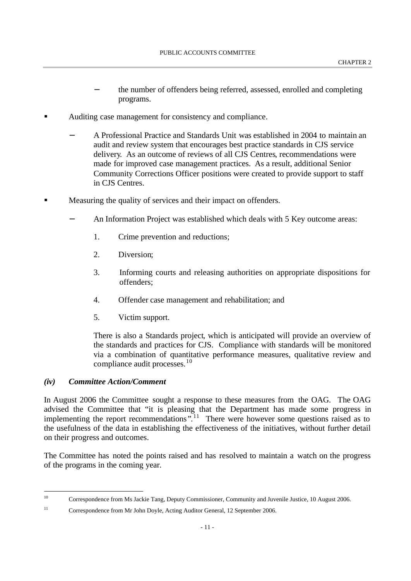- the number of offenders being referred, assessed, enrolled and completing programs.
- ß Auditing case management for consistency and compliance.
	- − A Professional Practice and Standards Unit was established in 2004 to maintain an audit and review system that encourages best practice standards in CJS service delivery. As an outcome of reviews of all CJS Centres, recommendations were made for improved case management practices. As a result, additional Senior Community Corrections Officer positions were created to provide support to staff in CJS Centres.
- ß Measuring the quality of services and their impact on offenders.
	- An Information Project was established which deals with 5 Key outcome areas:
		- 1. Crime prevention and reductions;
		- 2. Diversion;
		- 3. Informing courts and releasing authorities on appropriate dispositions for offenders;
		- 4. Offender case management and rehabilitation; and
		- 5. Victim support.

There is also a Standards project, which is anticipated will provide an overview of the standards and practices for CJS. Compliance with standards will be monitored via a combination of quantitative performance measures, qualitative review and compliance audit processes.<sup>10</sup>

#### *(iv) Committee Action/Comment*

l

In August 2006 the Committee sought a response to these measures from the OAG. The OAG advised the Committee that "it is pleasing that the Department has made some progress in implementing the report recommendations".<sup>11</sup> There were however some questions raised as to the usefulness of the data in establishing the effectiveness of the initiatives, without further detail on their progress and outcomes.

The Committee has noted the points raised and has resolved to maintain a watch on the progress of the programs in the coming year.

<sup>&</sup>lt;sup>10</sup> Correspondence from Ms Jackie Tang, Deputy Commissioner, Community and Juvenile Justice, 10 August 2006.

<sup>&</sup>lt;sup>11</sup> Correspondence from Mr John Doyle, Acting Auditor General, 12 September 2006.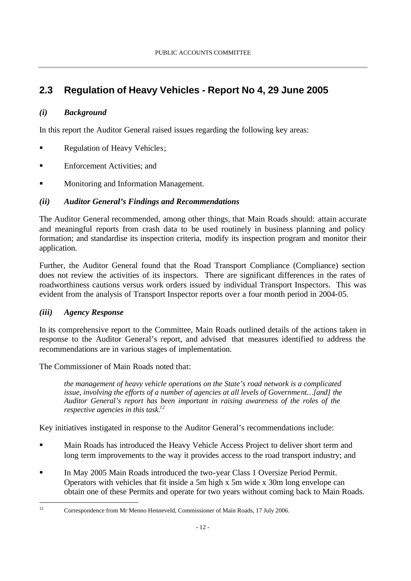# **2.3 Regulation of Heavy Vehicles - Report No 4, 29 June 2005**

## *(i) Background*

In this report the Auditor General raised issues regarding the following key areas:

- ß Regulation of Heavy Vehicles;
- ß Enforcement Activities; and
- ß Monitoring and Information Management.

## *(ii) Auditor General's Findings and Recommendations*

The Auditor General recommended, among other things, that Main Roads should: attain accurate and meaningful reports from crash data to be used routinely in business planning and policy formation; and standardise its inspection criteria, modify its inspection program and monitor their application.

Further, the Auditor General found that the Road Transport Compliance (Compliance) section does not review the activities of its inspectors. There are significant differences in the rates of roadworthiness cautions versus work orders issued by individual Transport Inspectors. This was evident from the analysis of Transport Inspector reports over a four month period in 2004-05.

## *(iii) Agency Response*

l

In its comprehensive report to the Committee, Main Roads outlined details of the actions taken in response to the Auditor General's report, and advised that measures identified to address the recommendations are in various stages of implementation.

The Commissioner of Main Roads noted that:

*the management of heavy vehicle operations on the State's road network is a complicated issue, involving the efforts of a number of agencies at all levels of Government…[and] the Auditor General's report has been important in raising awareness of the roles of the respective agencies in this task.<sup>12</sup>* 

Key initiatives instigated in response to the Auditor General's recommendations include:

- ß Main Roads has introduced the Heavy Vehicle Access Project to deliver short term and long term improvements to the way it provides access to the road transport industry; and
- ß In May 2005 Main Roads introduced the two-year Class 1 Oversize Period Permit. Operators with vehicles that fit inside a 5m high x 5m wide x 30m long envelope can obtain one of these Permits and operate for two years without coming back to Main Roads.

<sup>&</sup>lt;sup>12</sup> Correspondence from Mr Menno Henneveld, Commissioner of Main Roads, 17 July 2006.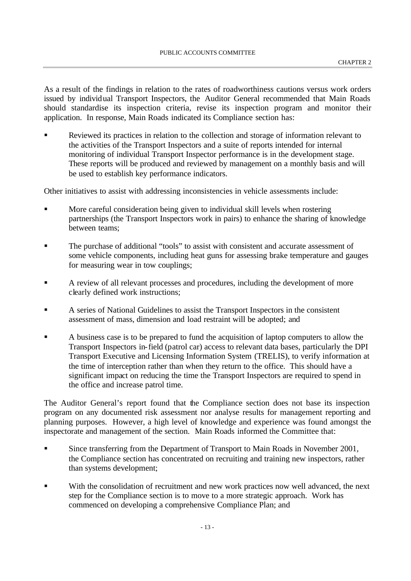As a result of the findings in relation to the rates of roadworthiness cautions versus work orders issued by individual Transport Inspectors, the Auditor General recommended that Main Roads should standardise its inspection criteria, revise its inspection program and monitor their application. In response, Main Roads indicated its Compliance section has:

ß Reviewed its practices in relation to the collection and storage of information relevant to the activities of the Transport Inspectors and a suite of reports intended for internal monitoring of individual Transport Inspector performance is in the development stage. These reports will be produced and reviewed by management on a monthly basis and will be used to establish key performance indicators.

Other initiatives to assist with addressing inconsistencies in vehicle assessments include:

- ß More careful consideration being given to individual skill levels when rostering partnerships (the Transport Inspectors work in pairs) to enhance the sharing of knowledge between teams;
- ß The purchase of additional "tools" to assist with consistent and accurate assessment of some vehicle components, including heat guns for assessing brake temperature and gauges for measuring wear in tow couplings;
- ß A review of all relevant processes and procedures, including the development of more clearly defined work instructions;
- ß A series of National Guidelines to assist the Transport Inspectors in the consistent assessment of mass, dimension and load restraint will be adopted; and
- ß A business case is to be prepared to fund the acquisition of laptop computers to allow the Transport Inspectors in-field (patrol car) access to relevant data bases, particularly the DPI Transport Executive and Licensing Information System (TRELIS), to verify information at the time of interception rather than when they return to the office. This should have a significant impact on reducing the time the Transport Inspectors are required to spend in the office and increase patrol time.

The Auditor General's report found that the Compliance section does not base its inspection program on any documented risk assessment nor analyse results for management reporting and planning purposes. However, a high level of knowledge and experience was found amongst the inspectorate and management of the section. Main Roads informed the Committee that:

- **Since transferring from the Department of Transport to Main Roads in November 2001,** the Compliance section has concentrated on recruiting and training new inspectors, rather than systems development;
- With the consolidation of recruitment and new work practices now well advanced, the next step for the Compliance section is to move to a more strategic approach. Work has commenced on developing a comprehensive Compliance Plan; and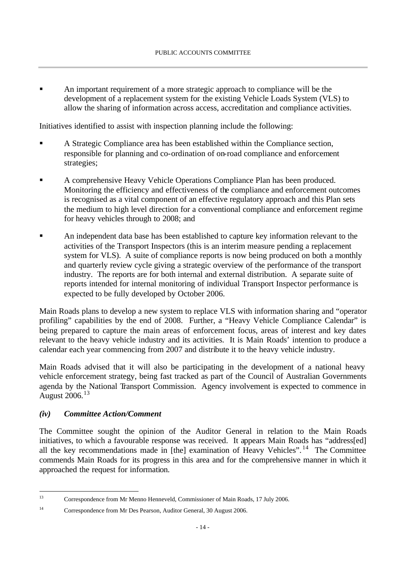ß An important requirement of a more strategic approach to compliance will be the development of a replacement system for the existing Vehicle Loads System (VLS) to allow the sharing of information across access, accreditation and compliance activities.

Initiatives identified to assist with inspection planning include the following:

- ß A Strategic Compliance area has been established within the Compliance section, responsible for planning and co-ordination of on-road compliance and enforcement strategies;
- ß A comprehensive Heavy Vehicle Operations Compliance Plan has been produced. Monitoring the efficiency and effectiveness of the compliance and enforcement outcomes is recognised as a vital component of an effective regulatory approach and this Plan sets the medium to high level direction for a conventional compliance and enforcement regime for heavy vehicles through to 2008; and
- ß An independent data base has been established to capture key information relevant to the activities of the Transport Inspectors (this is an interim measure pending a replacement system for VLS). A suite of compliance reports is now being produced on both a monthly and quarterly review cycle giving a strategic overview of the performance of the transport industry. The reports are for both internal and external distribution. A separate suite of reports intended for internal monitoring of individual Transport Inspector performance is expected to be fully developed by October 2006.

Main Roads plans to develop a new system to replace VLS with information sharing and "operator profiling" capabilities by the end of 2008. Further, a "Heavy Vehicle Compliance Calendar" is being prepared to capture the main areas of enforcement focus, areas of interest and key dates relevant to the heavy vehicle industry and its activities. It is Main Roads' intention to produce a calendar each year commencing from 2007 and distribute it to the heavy vehicle industry.

Main Roads advised that it will also be participating in the development of a national heavy vehicle enforcement strategy, being fast tracked as part of the Council of Australian Governments agenda by the National Transport Commission. Agency involvement is expected to commence in August 2006.<sup>13</sup>

## *(iv) Committee Action/Comment*

l

The Committee sought the opinion of the Auditor General in relation to the Main Roads initiatives, to which a favourable response was received. It appears Main Roads has "address[ed] all the key recommendations made in [the] examination of Heavy Vehicles".<sup>14</sup> The Committee commends Main Roads for its progress in this area and for the comprehensive manner in which it approached the request for information.

<sup>13</sup> Correspondence from Mr Menno Henneveld, Commissioner of Main Roads, 17 July 2006.

<sup>14</sup> Correspondence from Mr Des Pearson, Auditor General, 30 August 2006.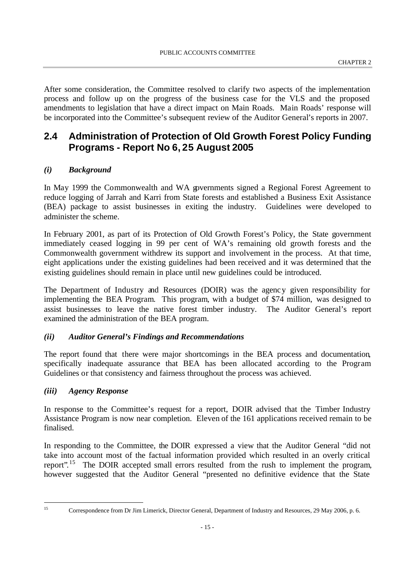After some consideration, the Committee resolved to clarify two aspects of the implementation process and follow up on the progress of the business case for the VLS and the proposed amendments to legislation that have a direct impact on Main Roads. Main Roads' response will be incorporated into the Committee's subsequent review of the Auditor General's reports in 2007.

# **2.4 Administration of Protection of Old Growth Forest Policy Funding Programs - Report No 6, 25 August 2005**

### *(i) Background*

In May 1999 the Commonwealth and WA governments signed a Regional Forest Agreement to reduce logging of Jarrah and Karri from State forests and established a Business Exit Assistance (BEA) package to assist businesses in exiting the industry. Guidelines were developed to administer the scheme.

In February 2001, as part of its Protection of Old Growth Forest's Policy, the State government immediately ceased logging in 99 per cent of WA's remaining old growth forests and the Commonwealth government withdrew its support and involvement in the process. At that time, eight applications under the existing guidelines had been received and it was determined that the existing guidelines should remain in place until new guidelines could be introduced.

The Department of Industry and Resources (DOIR) was the agency given responsibility for implementing the BEA Program. This program, with a budget of \$74 million, was designed to assist businesses to leave the native forest timber industry. The Auditor General's report examined the administration of the BEA program.

#### *(ii) Auditor General's Findings and Recommendations*

The report found that there were major shortcomings in the BEA process and documentation, specifically inadequate assurance that BEA has been allocated according to the Program Guidelines or that consistency and fairness throughout the process was achieved.

#### *(iii) Agency Response*

In response to the Committee's request for a report, DOIR advised that the Timber Industry Assistance Program is now near completion. Eleven of the 161 applications received remain to be finalised.

In responding to the Committee, the DOIR expressed a view that the Auditor General "did not take into account most of the factual information provided which resulted in an overly critical report".<sup>15</sup> The DOIR accepted small errors resulted from the rush to implement the program, however suggested that the Auditor General "presented no definitive evidence that the State

l

<sup>&</sup>lt;sup>15</sup> Correspondence from Dr Jim Limerick, Director General, Department of Industry and Resources, 29 May 2006, p. 6.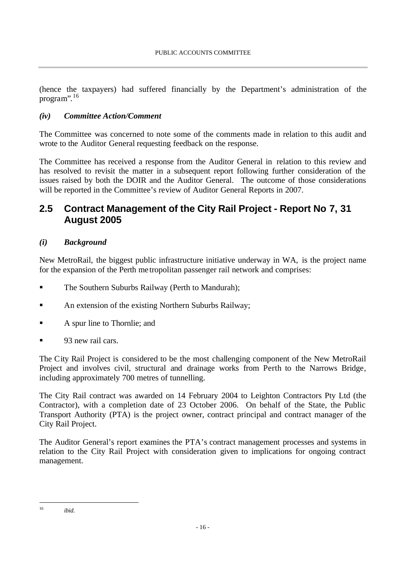(hence the taxpayers) had suffered financially by the Department's administration of the program". 16

### *(iv) Committee Action/Comment*

The Committee was concerned to note some of the comments made in relation to this audit and wrote to the Auditor General requesting feedback on the response.

The Committee has received a response from the Auditor General in relation to this review and has resolved to revisit the matter in a subsequent report following further consideration of the issues raised by both the DOIR and the Auditor General. The outcome of those considerations will be reported in the Committee's review of Auditor General Reports in 2007.

# **2.5 Contract Management of the City Rail Project - Report No 7, 31 August 2005**

## *(i) Background*

New MetroRail, the biggest public infrastructure initiative underway in WA, is the project name for the expansion of the Perth me tropolitan passenger rail network and comprises:

- ß The Southern Suburbs Railway (Perth to Mandurah);
- ß An extension of the existing Northern Suburbs Railway;
- A spur line to Thornlie; and
- 93 new rail cars.

The City Rail Project is considered to be the most challenging component of the New MetroRail Project and involves civil, structural and drainage works from Perth to the Narrows Bridge, including approximately 700 metres of tunnelling.

The City Rail contract was awarded on 14 February 2004 to Leighton Contractors Pty Ltd (the Contractor), with a completion date of 23 October 2006. On behalf of the State, the Public Transport Authority (PTA) is the project owner, contract principal and contract manager of the City Rail Project.

The Auditor General's report examines the PTA's contract management processes and systems in relation to the City Rail Project with consideration given to implications for ongoing contract management.

l

<sup>16</sup> *ibid*.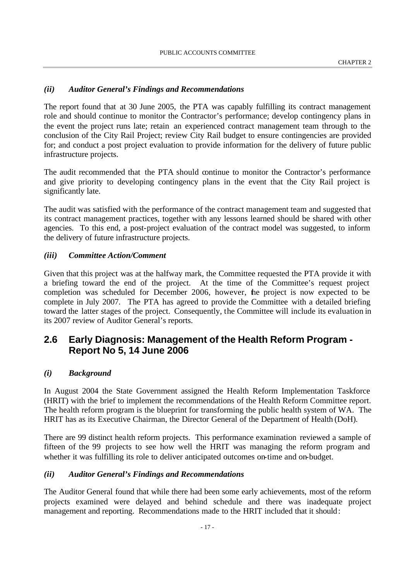#### *(ii) Auditor General's Findings and Recommendations*

The report found that at 30 June 2005, the PTA was capably fulfilling its contract management role and should continue to monitor the Contractor's performance; develop contingency plans in the event the project runs late; retain an experienced contract management team through to the conclusion of the City Rail Project; review City Rail budget to ensure contingencies are provided for; and conduct a post project evaluation to provide information for the delivery of future public infrastructure projects.

The audit recommended that the PTA should continue to monitor the Contractor's performance and give priority to developing contingency plans in the event that the City Rail project is significantly late.

The audit was satisfied with the performance of the contract management team and suggested that its contract management practices, together with any lessons learned should be shared with other agencies. To this end, a post-project evaluation of the contract model was suggested, to inform the delivery of future infrastructure projects.

#### *(iii) Committee Action/Comment*

Given that this project was at the halfway mark, the Committee requested the PTA provide it with a briefing toward the end of the project. At the time of the Committee's request project completion was scheduled for December 2006, however, the project is now expected to be complete in July 2007. The PTA has agreed to provide the Committee with a detailed briefing toward the latter stages of the project. Consequently, the Committee will include its evaluation in its 2007 review of Auditor General's reports.

# **2.6 Early Diagnosis: Management of the Health Reform Program - Report No 5, 14 June 2006**

#### *(i) Background*

In August 2004 the State Government assigned the Health Reform Implementation Taskforce (HRIT) with the brief to implement the recommendations of the Health Reform Committee report. The health reform program is the blueprint for transforming the public health system of WA. The HRIT has as its Executive Chairman, the Director General of the Department of Health (DoH).

There are 99 distinct health reform projects. This performance examination reviewed a sample of fifteen of the 99 projects to see how well the HRIT was managing the reform program and whether it was fulfilling its role to deliver anticipated outcomes on-time and on-budget.

#### *(ii) Auditor General's Findings and Recommendations*

The Auditor General found that while there had been some early achievements, most of the reform projects examined were delayed and behind schedule and there was inadequate project management and reporting. Recommendations made to the HRIT included that it should: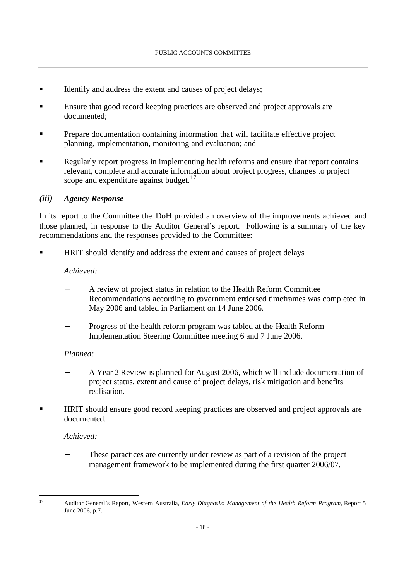- Identify and address the extent and causes of project delays;
- ß Ensure that good record keeping practices are observed and project approvals are documented;
- ß Prepare documentation containing information that will facilitate effective project planning, implementation, monitoring and evaluation; and
- ß Regularly report progress in implementing health reforms and ensure that report contains relevant, complete and accurate information about project progress, changes to project scope and expenditure against budget. $17$

### *(iii) Agency Response*

In its report to the Committee the DoH provided an overview of the improvements achieved and those planned, in response to the Auditor General's report. Following is a summary of the key recommendations and the responses provided to the Committee:

**HRIT** should identify and address the extent and causes of project delays

#### *Achieved:*

- − A review of project status in relation to the Health Reform Committee Recommendations according to government endorsed timeframes was completed in May 2006 and tabled in Parliament on 14 June 2006.
- Progress of the health reform program was tabled at the Health Reform Implementation Steering Committee meeting 6 and 7 June 2006.

#### *Planned:*

- − A Year 2 Review is planned for August 2006, which will include documentation of project status, extent and cause of project delays, risk mitigation and benefits realisation.
- ß HRIT should ensure good record keeping practices are observed and project approvals are documented.

## *Achieved:*

l

These paractices are currently under review as part of a revision of the project management framework to be implemented during the first quarter 2006/07.

<sup>17</sup> Auditor General's Report, Western Australia, *Early Diagnosis: Management of the Health Reform Program,* Report 5 June 2006, p.7.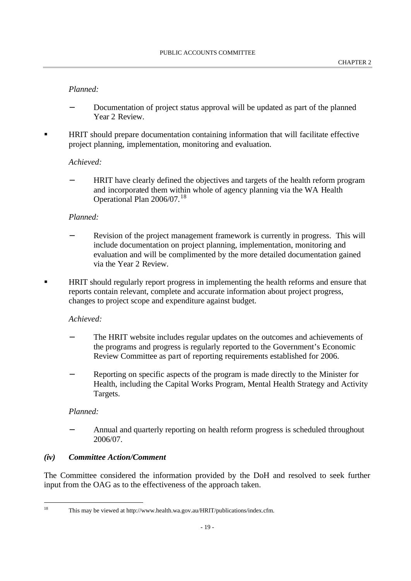### *Planned:*

- Documentation of project status approval will be updated as part of the planned Year 2 Review.
- ß HRIT should prepare documentation containing information that will facilitate effective project planning, implementation, monitoring and evaluation.

#### *Achieved:*

− HRIT have clearly defined the objectives and targets of the health reform program and incorporated them within whole of agency planning via the WA Health Operational Plan 2006/07.<sup>18</sup>

#### *Planned:*

- Revision of the project management framework is currently in progress. This will include documentation on project planning, implementation, monitoring and evaluation and will be complimented by the more detailed documentation gained via the Year 2 Review.
- ß HRIT should regularly report progress in implementing the health reforms and ensure that reports contain relevant, complete and accurate information about project progress, changes to project scope and expenditure against budget.

#### *Achieved:*

- The HRIT website includes regular updates on the outcomes and achievements of the programs and progress is regularly reported to the Government's Economic Review Committee as part of reporting requirements established for 2006.
- Reporting on specific aspects of the program is made directly to the Minister for Health, including the Capital Works Program, Mental Health Strategy and Activity Targets.

#### *Planned:*

− Annual and quarterly reporting on health reform progress is scheduled throughout 2006/07.

#### *(iv) Committee Action/Comment*

The Committee considered the information provided by the DoH and resolved to seek further input from the OAG as to the effectiveness of the approach taken.

l

<sup>18</sup> This may be viewed at http://www.health.wa.gov.au/HRIT/publications/index.cfm.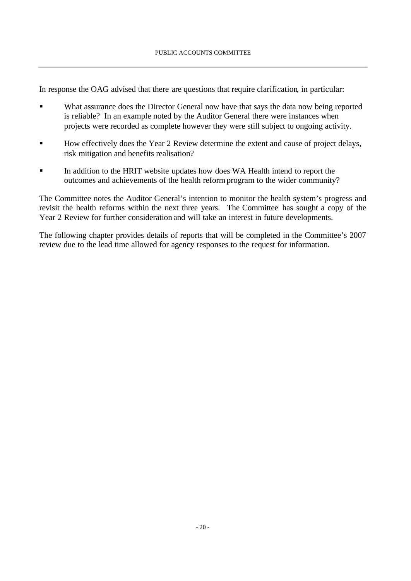In response the OAG advised that there are questions that require clarification, in particular:

- What assurance does the Director General now have that says the data now being reported is reliable? In an example noted by the Auditor General there were instances when projects were recorded as complete however they were still subject to ongoing activity.
- ß How effectively does the Year 2 Review determine the extent and cause of project delays, risk mitigation and benefits realisation?
- ß In addition to the HRIT website updates how does WA Health intend to report the outcomes and achievements of the health reform program to the wider community?

The Committee notes the Auditor General's intention to monitor the health system's progress and revisit the health reforms within the next three years. The Committee has sought a copy of the Year 2 Review for further consideration and will take an interest in future developments.

The following chapter provides details of reports that will be completed in the Committee's 2007 review due to the lead time allowed for agency responses to the request for information.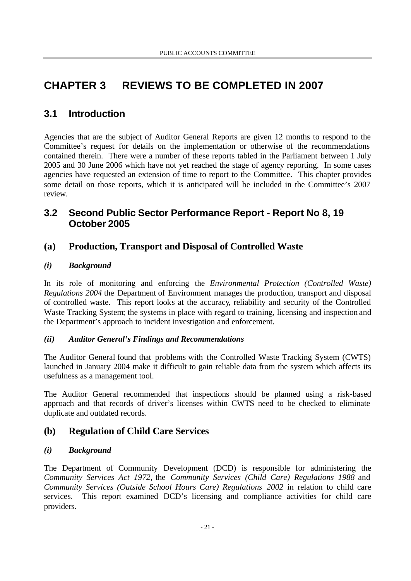# **CHAPTER 3 REVIEWS TO BE COMPLETED IN 2007**

# **3.1 Introduction**

Agencies that are the subject of Auditor General Reports are given 12 months to respond to the Committee's request for details on the implementation or otherwise of the recommendations contained therein. There were a number of these reports tabled in the Parliament between 1 July 2005 and 30 June 2006 which have not yet reached the stage of agency reporting. In some cases agencies have requested an extension of time to report to the Committee. This chapter provides some detail on those reports, which it is anticipated will be included in the Committee's 2007 review.

# **3.2 Second Public Sector Performance Report - Report No 8, 19 October 2005**

# **(a) Production, Transport and Disposal of Controlled Waste**

## *(i) Background*

In its role of monitoring and enforcing the *Environmental Protection (Controlled Waste) Regulations 2004* the Department of Environment manages the production, transport and disposal of controlled waste. This report looks at the accuracy, reliability and security of the Controlled Waste Tracking System; the systems in place with regard to training, licensing and inspection and the Department's approach to incident investigation and enforcement.

## *(ii) Auditor General's Findings and Recommendations*

The Auditor General found that problems with the Controlled Waste Tracking System (CWTS) launched in January 2004 make it difficult to gain reliable data from the system which affects its usefulness as a management tool.

The Auditor General recommended that inspections should be planned using a risk-based approach and that records of driver's licenses within CWTS need to be checked to eliminate duplicate and outdated records.

# **(b) Regulation of Child Care Services**

## *(i) Background*

The Department of Community Development (DCD) is responsible for administering the *Community Services Act 1972*, the *Community Services (Child Care) Regulations 1988* and *Community Services (Outside School Hours Care) Regulations 2002* in relation to child care services. This report examined DCD's licensing and compliance activities for child care providers.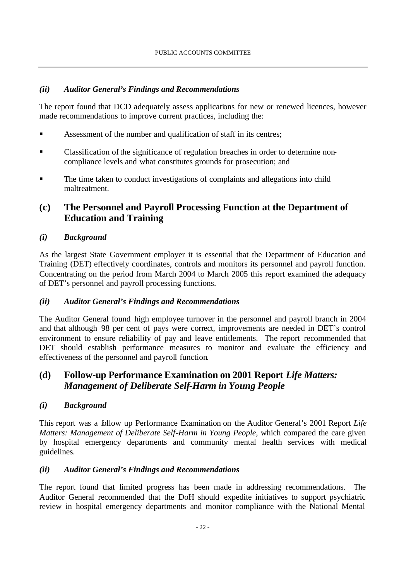## *(ii) Auditor General's Findings and Recommendations*

The report found that DCD adequately assess applications for new or renewed licences, however made recommendations to improve current practices, including the:

- ß Assessment of the number and qualification of staff in its centres;
- ß Classification of the significance of regulation breaches in order to determine noncompliance levels and what constitutes grounds for prosecution; and
- ß The time taken to conduct investigations of complaints and allegations into child maltreatment.

# **(c) The Personnel and Payroll Processing Function at the Department of Education and Training**

## *(i) Background*

As the largest State Government employer it is essential that the Department of Education and Training (DET) effectively coordinates, controls and monitors its personnel and payroll function. Concentrating on the period from March 2004 to March 2005 this report examined the adequacy of DET's personnel and payroll processing functions.

## *(ii) Auditor General's Findings and Recommendations*

The Auditor General found high employee turnover in the personnel and payroll branch in 2004 and that although 98 per cent of pays were correct, improvements are needed in DET's control environment to ensure reliability of pay and leave entitlements. The report recommended that DET should establish performance measures to monitor and evaluate the efficiency and effectiveness of the personnel and payroll function.

# **(d) Follow-up Performance Examination on 2001 Report** *Life Matters: Management of Deliberate Self-Harm in Young People*

## *(i) Background*

This report was a follow up Performance Examination on the Auditor General's 2001 Report *Life Matters: Management of Deliberate Self-Harm in Young People,* which compared the care given by hospital emergency departments and community mental health services with medical guidelines.

## *(ii) Auditor General's Findings and Recommendations*

The report found that limited progress has been made in addressing recommendations. The Auditor General recommended that the DoH should expedite initiatives to support psychiatric review in hospital emergency departments and monitor compliance with the National Mental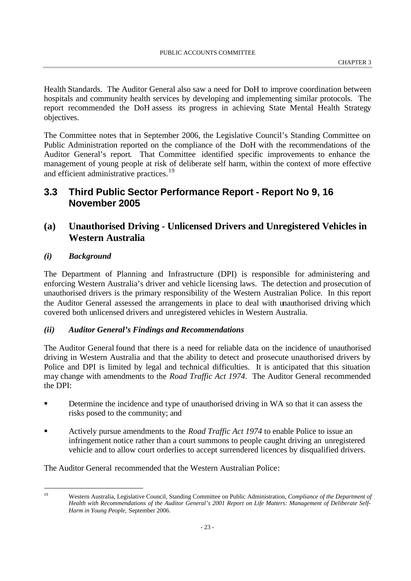Health Standards. The Auditor General also saw a need for DoH to improve coordination between hospitals and community health services by developing and implementing similar protocols. The report recommended the DoH assess its progress in achieving State Mental Health Strategy objectives.

The Committee notes that in September 2006, the Legislative Council's Standing Committee on Public Administration reported on the compliance of the DoH with the recommendations of the Auditor General's report. That Committee identified specific improvements to enhance the management of young people at risk of deliberate self harm, within the context of more effective and efficient administrative practices. 19

# **3.3 Third Public Sector Performance Report - Report No 9, 16 November 2005**

# **(a) Unauthorised Driving - Unlicensed Drivers and Unregistered Vehicles in Western Australia**

### *(i) Background*

l

The Department of Planning and Infrastructure (DPI) is responsible for administering and enforcing Western Australia's driver and vehicle licensing laws. The detection and prosecution of unauthorised drivers is the primary responsibility of the Western Australian Police. In this report the Auditor General assessed the arrangements in place to deal with unauthorised driving which covered both unlicensed drivers and unregistered vehicles in Western Australia.

## *(ii) Auditor General's Findings and Recommendations*

The Auditor General found that there is a need for reliable data on the incidence of unauthorised driving in Western Australia and that the ability to detect and prosecute unauthorised drivers by Police and DPI is limited by legal and technical difficulties. It is anticipated that this situation may change with amendments to the *Road Traffic Act 1974*. The Auditor General recommended the DPI:

- **EXECUTE:** Determine the incidence and type of unauthorised driving in WA so that it can assess the risks posed to the community; and
- **EXECUTE:** Actively pursue amendments to the *Road Traffic Act 1974* to enable Police to issue an infringement notice rather than a court summons to people caught driving an unregistered vehicle and to allow court orderlies to accept surrendered licences by disqualified drivers.

The Auditor General recommended that the Western Australian Police:

<sup>19</sup> Western Australia, Legislative Council, Standing Committee on Public Administration, *Compliance of the Department of Health with Recommendations of the Auditor General's 2001 Report on Life Matters: Management of Deliberate Self-Harm in Young People,* September 2006.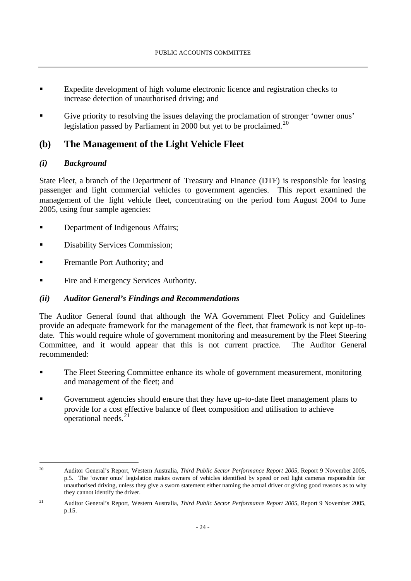- ß Expedite development of high volume electronic licence and registration checks to increase detection of unauthorised driving; and
- Give priority to resolving the issues delaying the proclamation of stronger 'owner onus' legislation passed by Parliament in 2000 but yet to be proclaimed.<sup>20</sup>

# **(b) The Management of the Light Vehicle Fleet**

## *(i) Background*

l

State Fleet, a branch of the Department of Treasury and Finance (DTF) is responsible for leasing passenger and light commercial vehicles to government agencies. This report examined the management of the light vehicle fleet, concentrating on the period fom August 2004 to June 2005, using four sample agencies:

- ß Department of Indigenous Affairs;
- ß Disability Services Commission;
- **Fremantle Port Authority; and**
- ß Fire and Emergency Services Authority.

## *(ii) Auditor General's Findings and Recommendations*

The Auditor General found that although the WA Government Fleet Policy and Guidelines provide an adequate framework for the management of the fleet, that framework is not kept up-todate. This would require whole of government monitoring and measurement by the Fleet Steering Committee, and it would appear that this is not current practice. The Auditor General recommended:

- ß The Fleet Steering Committee enhance its whole of government measurement, monitoring and management of the fleet; and
- ß Government agencies should ensure that they have up-to-date fleet management plans to provide for a cost effective balance of fleet composition and utilisation to achieve operational needs.<sup>21</sup>

<sup>20</sup> Auditor General's Report, Western Australia, *Third Public Sector Performance Report 2005,* Report 9 November 2005, p.5. The 'owner onus' legislation makes owners of vehicles identified by speed or red light cameras responsible for unauthorised driving, unless they give a sworn statement either naming the actual driver or giving good reasons as to why they cannot identify the driver.

<sup>21</sup> Auditor General's Report, Western Australia, *Third Public Sector Performance Report 2005,* Report 9 November 2005, p.15.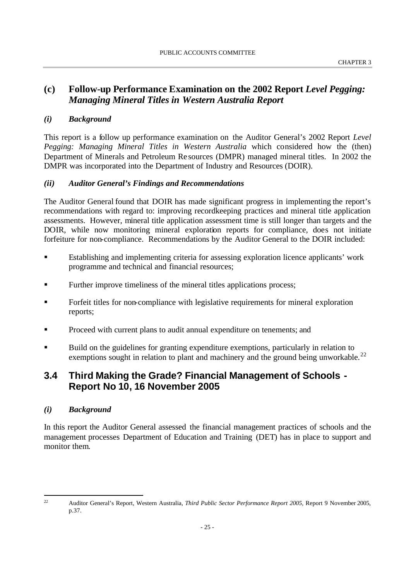# **(c) Follow-up Performance Examination on the 2002 Report** *Level Pegging: Managing Mineral Titles in Western Australia Report*

## *(i) Background*

This report is a follow up performance examination on the Auditor General's 2002 Report *Level Pegging: Managing Mineral Titles in Western Australia* which considered how the (then) Department of Minerals and Petroleum Re sources (DMPR) managed mineral titles. In 2002 the DMPR was incorporated into the Department of Industry and Resources (DOIR).

## *(ii) Auditor General's Findings and Recommendations*

The Auditor General found that DOIR has made significant progress in implementing the report's recommendations with regard to: improving recordkeeping practices and mineral title application assessments. However, mineral title application assessment time is still longer than targets and the DOIR, while now monitoring mineral exploration reports for compliance, does not initiate forfeiture for non-compliance. Recommendations by the Auditor General to the DOIR included:

- **Establishing and implementing criteria for assessing exploration licence applicants' work** programme and technical and financial resources;
- ß Further improve timeliness of the mineral titles applications process;
- ß Forfeit titles for non-compliance with legislative requirements for mineral exploration reports;
- **•** Proceed with current plans to audit annual expenditure on tenements; and
- ß Build on the guidelines for granting expenditure exemptions, particularly in relation to exemptions sought in relation to plant and machinery and the ground being unworkable.<sup>22</sup>

# **3.4 Third Making the Grade? Financial Management of Schools - Report No 10, 16 November 2005**

## *(i) Background*

l

In this report the Auditor General assessed the financial management practices of schools and the management processes Department of Education and Training (DET) has in place to support and monitor them.

<sup>22</sup> Auditor General's Report, Western Australia, *Third Public Sector Performance Report 2005,* Report 9 November 2005, p.37.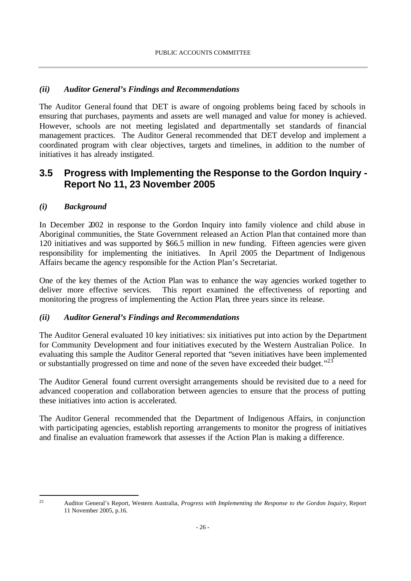## *(ii) Auditor General's Findings and Recommendations*

The Auditor General found that DET is aware of ongoing problems being faced by schools in ensuring that purchases, payments and assets are well managed and value for money is achieved. However, schools are not meeting legislated and departmentally set standards of financial management practices. The Auditor General recommended that DET develop and implement a coordinated program with clear objectives, targets and timelines, in addition to the number of initiatives it has already instigated.

# **3.5 Progress with Implementing the Response to the Gordon Inquiry - Report No 11, 23 November 2005**

## *(i) Background*

In December 2002 in response to the Gordon Inquiry into family violence and child abuse in Aboriginal communities, the State Government released an Action Plan that contained more than 120 initiatives and was supported by \$66.5 million in new funding. Fifteen agencies were given responsibility for implementing the initiatives. In April 2005 the Department of Indigenous Affairs became the agency responsible for the Action Plan's Secretariat.

One of the key themes of the Action Plan was to enhance the way agencies worked together to deliver more effective services. This report examined the effectiveness of reporting and monitoring the progress of implementing the Action Plan, three years since its release.

## *(ii) Auditor General's Findings and Recommendations*

The Auditor General evaluated 10 key initiatives: six initiatives put into action by the Department for Community Development and four initiatives executed by the Western Australian Police. In evaluating this sample the Auditor General reported that "seven initiatives have been implemented or substantially progressed on time and none of the seven have exceeded their budget."<sup>23</sup>

The Auditor General found current oversight arrangements should be revisited due to a need for advanced cooperation and collaboration between agencies to ensure that the process of putting these initiatives into action is accelerated.

The Auditor General recommended that the Department of Indigenous Affairs, in conjunction with participating agencies, establish reporting arrangements to monitor the progress of initiatives and finalise an evaluation framework that assesses if the Action Plan is making a difference.

l

<sup>23</sup> Auditor General's Report, Western Australia, *Progress with Implementing the Response to the Gordon Inquiry,* Report 11 November 2005, p.16.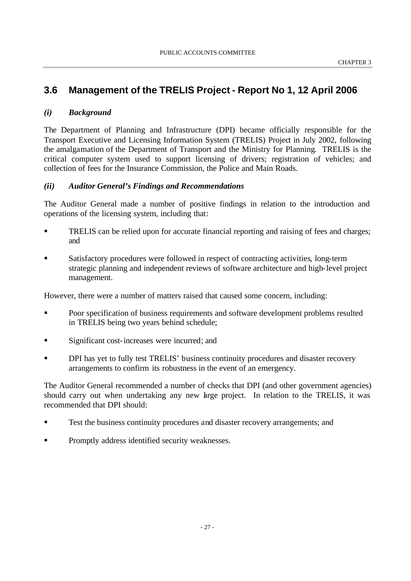# **3.6 Management of the TRELIS Project - Report No 1, 12 April 2006**

#### *(i) Background*

The Department of Planning and Infrastructure (DPI) became officially responsible for the Transport Executive and Licensing Information System (TRELIS) Project in July 2002, following the amalgamation of the Department of Transport and the Ministry for Planning. TRELIS is the critical computer system used to support licensing of drivers; registration of vehicles; and collection of fees for the Insurance Commission, the Police and Main Roads.

### *(ii) Auditor General's Findings and Recommendations*

The Auditor General made a number of positive findings in relation to the introduction and operations of the licensing system, including that:

- **EXECUTE:** TRELIS can be relied upon for accurate financial reporting and raising of fees and charges; and
- ß Satisfactory procedures were followed in respect of contracting activities, long-term strategic planning and independent reviews of software architecture and high-level project management.

However, there were a number of matters raised that caused some concern, including:

- **••** Poor specification of business requirements and software development problems resulted in TRELIS being two years behind schedule;
- **Significant cost-increases were incurred; and**
- DPI has yet to fully test TRELIS' business continuity procedures and disaster recovery arrangements to confirm its robustness in the event of an emergency.

The Auditor General recommended a number of checks that DPI (and other government agencies) should carry out when undertaking any new large project. In relation to the TRELIS, it was recommended that DPI should:

- ß Test the business continuity procedures and disaster recovery arrangements; and
- **•** Promptly address identified security weaknesses.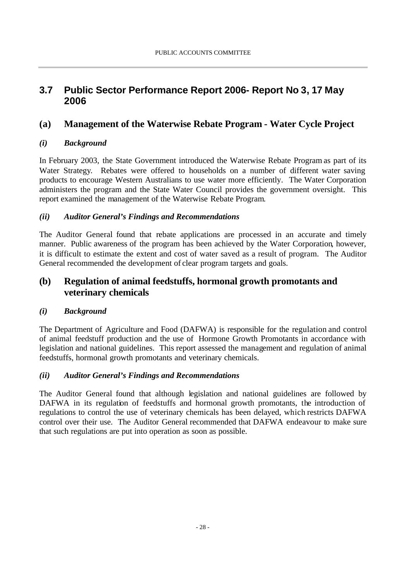# **3.7 Public Sector Performance Report 2006- Report No 3, 17 May 2006**

# **(a) Management of the Waterwise Rebate Program - Water Cycle Project**

## *(i) Background*

In February 2003, the State Government introduced the Waterwise Rebate Program as part of its Water Strategy. Rebates were offered to households on a number of different water saving products to encourage Western Australians to use water more efficiently. The Water Corporation administers the program and the State Water Council provides the government oversight. This report examined the management of the Waterwise Rebate Program.

## *(ii) Auditor General's Findings and Recommendations*

The Auditor General found that rebate applications are processed in an accurate and timely manner. Public awareness of the program has been achieved by the Water Corporation, however, it is difficult to estimate the extent and cost of water saved as a result of program. The Auditor General recommended the development of clear program targets and goals.

# **(b) Regulation of animal feedstuffs, hormonal growth promotants and veterinary chemicals**

## *(i) Background*

The Department of Agriculture and Food (DAFWA) is responsible for the regulation and control of animal feedstuff production and the use of Hormone Growth Promotants in accordance with legislation and national guidelines. This report assessed the management and regulation of animal feedstuffs, hormonal growth promotants and veterinary chemicals.

## *(ii) Auditor General's Findings and Recommendations*

The Auditor General found that although legislation and national guidelines are followed by DAFWA in its regulation of feedstuffs and hormonal growth promotants, the introduction of regulations to control the use of veterinary chemicals has been delayed, which restricts DAFWA control over their use. The Auditor General recommended that DAFWA endeavour to make sure that such regulations are put into operation as soon as possible.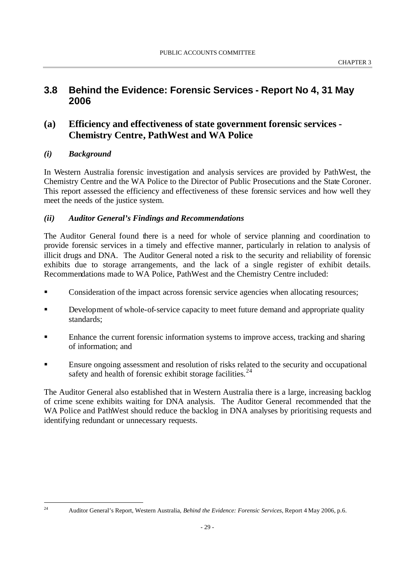# **3.8 Behind the Evidence: Forensic Services - Report No 4, 31 May 2006**

# **(a) Efficiency and effectiveness of state government forensic services - Chemistry Centre, PathWest and WA Police**

## *(i) Background*

l

In Western Australia forensic investigation and analysis services are provided by PathWest, the Chemistry Centre and the WA Police to the Director of Public Prosecutions and the State Coroner. This report assessed the efficiency and effectiveness of these forensic services and how well they meet the needs of the justice system.

### *(ii) Auditor General's Findings and Recommendations*

The Auditor General found there is a need for whole of service planning and coordination to provide forensic services in a timely and effective manner, particularly in relation to analysis of illicit drugs and DNA. The Auditor General noted a risk to the security and reliability of forensic exhibits due to storage arrangements, and the lack of a single register of exhibit details. Recommendations made to WA Police, PathWest and the Chemistry Centre included:

- **EXECONS** Consideration of the impact across forensic service agencies when allocating resources;
- **EXECUTE:** Development of whole-of-service capacity to meet future demand and appropriate quality standards;
- ß Enhance the current forensic information systems to improve access, tracking and sharing of information; and
- ß Ensure ongoing assessment and resolution of risks related to the security and occupational safety and health of forensic exhibit storage facilities.  $24$

The Auditor General also established that in Western Australia there is a large, increasing backlog of crime scene exhibits waiting for DNA analysis. The Auditor General recommended that the WA Police and PathWest should reduce the backlog in DNA analyses by prioritising requests and identifying redundant or unnecessary requests.

<sup>24</sup> Auditor General's Report, Western Australia, *Behind the Evidence: Forensic Services,* Report 4 May 2006, p.6.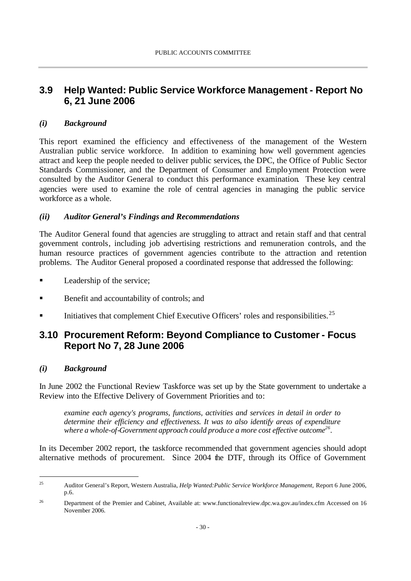# **3.9 Help Wanted: Public Service Workforce Management - Report No 6, 21 June 2006**

### *(i) Background*

This report examined the efficiency and effectiveness of the management of the Western Australian public service workforce. In addition to examining how well government agencies attract and keep the people needed to deliver public services, the DPC, the Office of Public Sector Standards Commissioner, and the Department of Consumer and Employment Protection were consulted by the Auditor General to conduct this performance examination. These key central agencies were used to examine the role of central agencies in managing the public service workforce as a whole.

#### *(ii) Auditor General's Findings and Recommendations*

The Auditor General found that agencies are struggling to attract and retain staff and that central government controls, including job advertising restrictions and remuneration controls, and the human resource practices of government agencies contribute to the attraction and retention problems. The Auditor General proposed a coordinated response that addressed the following:

- Leadership of the service;
- ß Benefit and accountability of controls; and
- Initiatives that complement Chief Executive Officers' roles and responsibilities.<sup>25</sup>

# **3.10 Procurement Reform: Beyond Compliance to Customer - Focus Report No 7, 28 June 2006**

#### *(i) Background*

l

In June 2002 the Functional Review Taskforce was set up by the State government to undertake a Review into the Effective Delivery of Government Priorities and to:

*examine each agency's programs, functions, activities and services in detail in order to determine their efficiency and effectiveness. It was to also identify areas of expenditure where a whole-of-Government approach could produce a more cost effective outcome<sup>26</sup> .* 

In its December 2002 report, the taskforce recommended that government agencies should adopt alternative methods of procurement. Since 2004 the DTF, through its Office of Government

<sup>25</sup> Auditor General's Report, Western Australia, *Help Wanted:Public Service Workforce Management,* Report 6 June 2006, p.6.

<sup>&</sup>lt;sup>26</sup> Department of the Premier and Cabinet, Available at: www.functionalreview.dpc.wa.gov.au/index.cfm Accessed on 16 November 2006.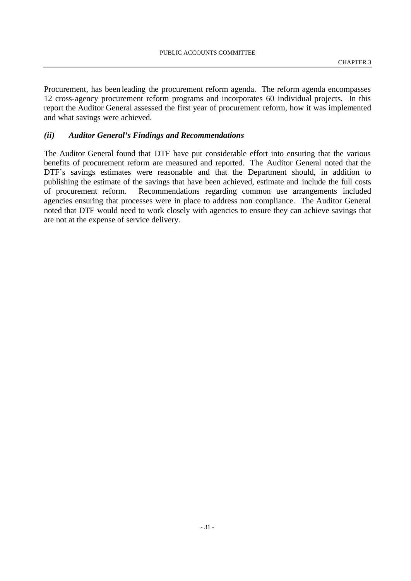Procurement, has been leading the procurement reform agenda. The reform agenda encompasses 12 cross-agency procurement reform programs and incorporates 60 individual projects. In this report the Auditor General assessed the first year of procurement reform, how it was implemented and what savings were achieved.

#### *(ii) Auditor General's Findings and Recommendations*

The Auditor General found that DTF have put considerable effort into ensuring that the various benefits of procurement reform are measured and reported. The Auditor General noted that the DTF's savings estimates were reasonable and that the Department should, in addition to publishing the estimate of the savings that have been achieved, estimate and include the full costs of procurement reform. Recommendations regarding common use arrangements included agencies ensuring that processes were in place to address non compliance. The Auditor General noted that DTF would need to work closely with agencies to ensure they can achieve savings that are not at the expense of service delivery.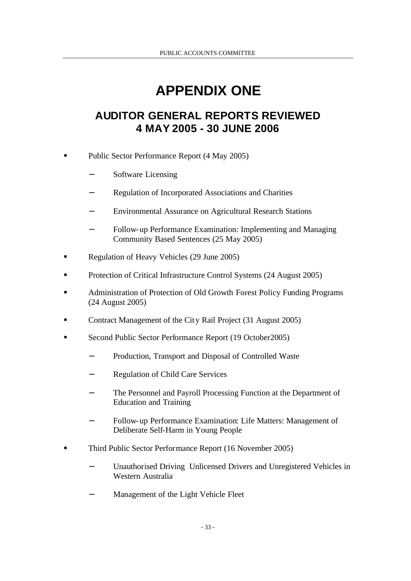# **APPENDIX ONE**

# **AUDITOR GENERAL REPORTS REVIEWED 4 MAY 2005 - 30 JUNE 2006**

- ß Public Sector Performance Report (4 May 2005)
	- Software Licensing
	- − Regulation of Incorporated Associations and Charities
	- Environmental Assurance on Agricultural Research Stations
	- Follow-up Performance Examination: Implementing and Managing Community Based Sentences (25 May 2005)
- ß Regulation of Heavy Vehicles (29 June 2005)
- ß Protection of Critical Infrastructure Control Systems (24 August 2005)
- ß Administration of Protection of Old Growth Forest Policy Funding Programs (24 August 2005)
- ß Contract Management of the City Rail Project (31 August 2005)
- ß Second Public Sector Performance Report (19 October2005)
	- Production, Transport and Disposal of Controlled Waste
	- − Regulation of Child Care Services
	- The Personnel and Payroll Processing Function at the Department of Education and Training
	- − Follow-up Performance Examination: Life Matters: Management of Deliberate Self-Harm in Young People
- ß Third Public Sector Performance Report (16 November 2005)
	- Unauthorised Driving Unlicensed Drivers and Unregistered Vehicles in Western Australia
	- Management of the Light Vehicle Fleet